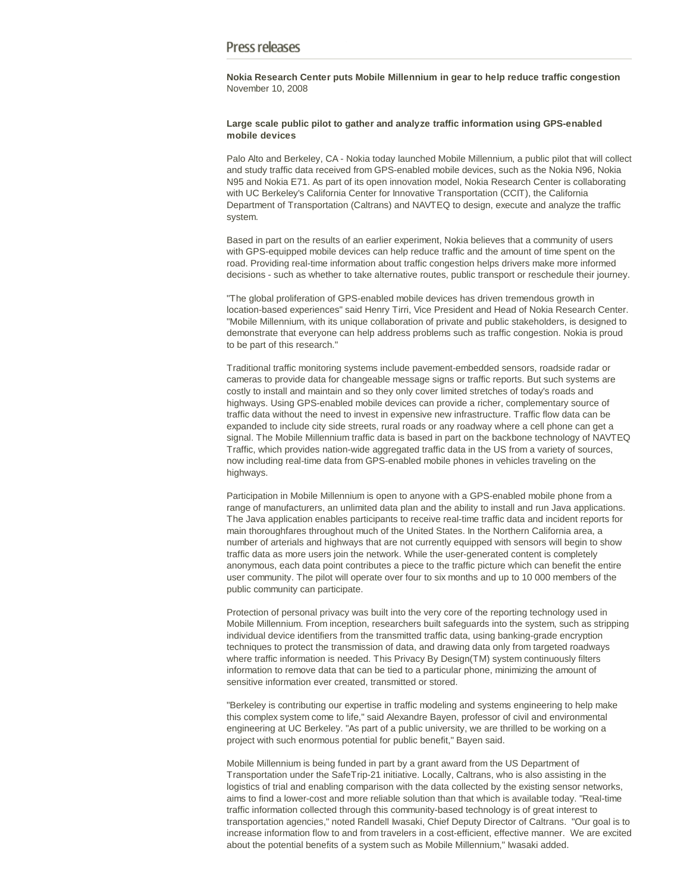# Press releases

**Nokia Research Center puts Mobile Millennium in gear to help reduce traffic congestion** November 10, 2008

## **Large scale public pilot to gather and analyze traffic information using GPS-enabled mobile devices**

Palo Alto and Berkeley, CA - Nokia today launched Mobile Millennium, a public pilot that will collect and study traffic data received from GPS-enabled mobile devices, such as the Nokia N96, Nokia N95 and Nokia E71. As part of its open innovation model, Nokia Research Center is collaborating with UC Berkeley's California Center for Innovative Transportation (CCIT), the California Department of Transportation (Caltrans) and NAVTEQ to design, execute and analyze the traffic system.

Based in part on the results of an earlier experiment, Nokia believes that a community of users with GPS-equipped mobile devices can help reduce traffic and the amount of time spent on the road. Providing real-time information about traffic congestion helps drivers make more informed decisions - such as whether to take alternative routes, public transport or reschedule their journey.

"The global proliferation of GPS-enabled mobile devices has driven tremendous growth in location-based experiences" said Henry Tirri, Vice President and Head of Nokia Research Center. "Mobile Millennium, with its unique collaboration of private and public stakeholders, is designed to demonstrate that everyone can help address problems such as traffic congestion. Nokia is proud to be part of this research."

Traditional traffic monitoring systems include pavement-embedded sensors, roadside radar or cameras to provide data for changeable message signs or traffic reports. But such systems are costly to install and maintain and so they only cover limited stretches of today's roads and highways. Using GPS-enabled mobile devices can provide a richer, complementary source of traffic data without the need to invest in expensive new infrastructure. Traffic flow data can be expanded to include city side streets, rural roads or any roadway where a cell phone can get a signal. The Mobile Millennium traffic data is based in part on the backbone technology of NAVTEQ Traffic, which provides nation-wide aggregated traffic data in the US from a variety of sources, now including real-time data from GPS-enabled mobile phones in vehicles traveling on the highways.

Participation in Mobile Millennium is open to anyone with a GPS-enabled mobile phone from a range of manufacturers, an unlimited data plan and the ability to install and run Java applications. The Java application enables participants to receive real-time traffic data and incident reports for main thoroughfares throughout much of the United States. In the Northern California area, a number of arterials and highways that are not currently equipped with sensors will begin to show traffic data as more users join the network. While the user-generated content is completely anonymous, each data point contributes a piece to the traffic picture which can benefit the entire user community. The pilot will operate over four to six months and up to 10 000 members of the public community can participate.

Protection of personal privacy was built into the very core of the reporting technology used in Mobile Millennium. From inception, researchers built safeguards into the system, such as stripping individual device identifiers from the transmitted traffic data, using banking-grade encryption techniques to protect the transmission of data, and drawing data only from targeted roadways where traffic information is needed. This Privacy By Design(TM) system continuously filters information to remove data that can be tied to a particular phone, minimizing the amount of sensitive information ever created, transmitted or stored.

"Berkeley is contributing our expertise in traffic modeling and systems engineering to help make this complex system come to life," said Alexandre Bayen, professor of civil and environmental engineering at UC Berkeley. "As part of a public university, we are thrilled to be working on a project with such enormous potential for public benefit," Bayen said.

Mobile Millennium is being funded in part by a grant award from the US Department of Transportation under the SafeTrip-21 initiative. Locally, Caltrans, who is also assisting in the logistics of trial and enabling comparison with the data collected by the existing sensor networks, aims to find a lower-cost and more reliable solution than that which is available today. "Real-time traffic information collected through this community-based technology is of great interest to transportation agencies," noted Randell Iwasaki, Chief Deputy Director of Caltrans. "Our goal is to increase information flow to and from travelers in a cost-efficient, effective manner. We are excited about the potential benefits of a system such as Mobile Millennium," Iwasaki added.